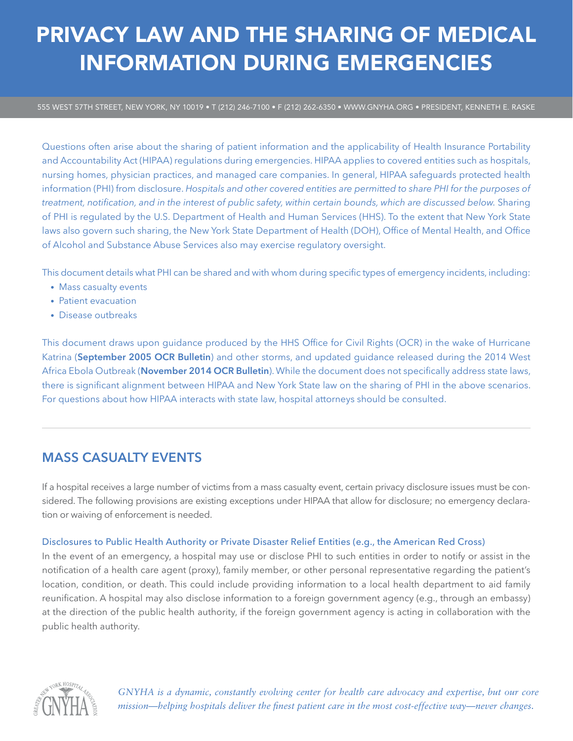# PRIVACY LAW AND THE SHARING OF MEDICAL INFORMATION DURING EMERGENCIES

555 WEST 57TH STREET, NEW YORK, NY 10019 • T (212) 246-7100 • F (212) 262-6350 • WWW.GNYHA.ORG • PRESIDENT, KENNETH E. RASKE

Questions often arise about the sharing of patient information and the applicability of Health Insurance Portability and Accountability Act (HIPAA) regulations during emergencies. HIPAA applies to covered entities such as hospitals, nursing homes, physician practices, and managed care companies. In general, HIPAA safeguards protected health information (PHI) from disclosure. *Hospitals and other covered entities are permitted to share PHI for the purposes of treatment, notification, and in the interest of public safety, within certain bounds, which are discussed below.* Sharing of PHI is regulated by the U.S. Department of Health and Human Services (HHS). To the extent that New York State laws also govern such sharing, the New York State Department of Health (DOH), Office of Mental Health, and Office of Alcohol and Substance Abuse Services also may exercise regulatory oversight.

This document details what PHI can be shared and with whom during specific types of emergency incidents, including:

- Mass casualty events
- Patient evacuation
- Disease outbreaks

This document draws upon guidance produced by the HHS Office for Civil Rights (OCR) in the wake of Hurricane Katrina (**[September 2005 OCR Bulletin](https://www.hhs.gov/sites/default/files/ocr/privacy/hipaa/understanding/special/emergency/enforcementstatement.pdf)**) and other storms, and updated guidance released during the 2014 West Africa Ebola Outbreak (**[November 2014 OCR Bulletin](https://www.hhs.gov/sites/default/files/emergencysituations.pdf)**). While the document does not specifically address state laws, there is significant alignment between HIPAA and New York State law on the sharing of PHI in the above scenarios. For questions about how HIPAA interacts with state law, hospital attorneys should be consulted.

# **MASS CASUALTY EVENTS**

If a hospital receives a large number of victims from a mass casualty event, certain privacy disclosure issues must be considered. The following provisions are existing exceptions under HIPAA that allow for disclosure; no emergency declaration or waiving of enforcement is needed.

## Disclosures to Public Health Authority or Private Disaster Relief Entities (e.g., the American Red Cross)

In the event of an emergency, a hospital may use or disclose PHI to such entities in order to notify or assist in the notification of a health care agent (proxy), family member, or other personal representative regarding the patient's location, condition, or death. This could include providing information to a local health department to aid family reunification. A hospital may also disclose information to a foreign government agency (e.g., through an embassy) at the direction of the public health authority, if the foreign government agency is acting in collaboration with the public health authority.



*GNYHA is a dynamic, constantly evolving center for health care advocacy and expertise, but our core mission—helping hospitals deliver the finest patient care in the most cost-effective way—never changes.*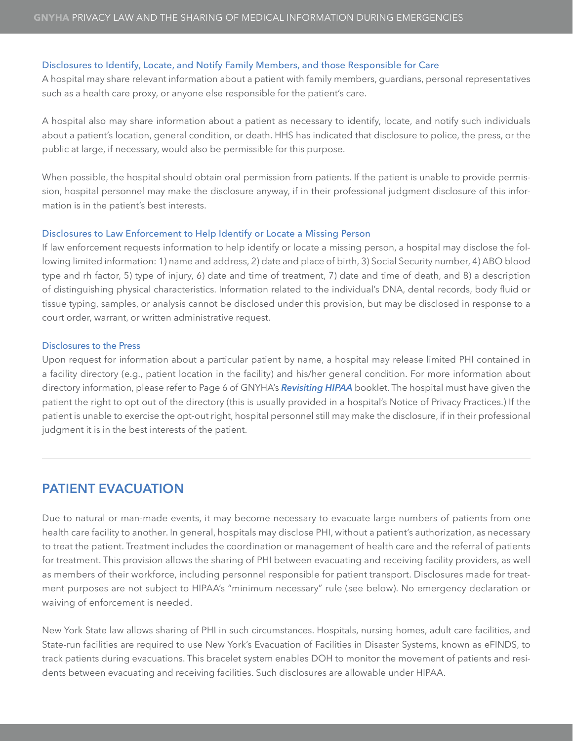#### Disclosures to Identify, Locate, and Notify Family Members, and those Responsible for Care

A hospital may share relevant information about a patient with family members, guardians, personal representatives such as a health care proxy, or anyone else responsible for the patient's care.

A hospital also may share information about a patient as necessary to identify, locate, and notify such individuals about a patient's location, general condition, or death. HHS has indicated that disclosure to police, the press, or the public at large, if necessary, would also be permissible for this purpose.

When possible, the hospital should obtain oral permission from patients. If the patient is unable to provide permission, hospital personnel may make the disclosure anyway, if in their professional judgment disclosure of this information is in the patient's best interests.

#### Disclosures to Law Enforcement to Help Identify or Locate a Missing Person

If law enforcement requests information to help identify or locate a missing person, a hospital may disclose the following limited information: 1) name and address, 2) date and place of birth, 3) Social Security number, 4) ABO blood type and rh factor, 5) type of injury, 6) date and time of treatment, 7) date and time of death, and 8) a description of distinguishing physical characteristics. Information related to the individual's DNA, dental records, body fluid or tissue typing, samples, or analysis cannot be disclosed under this provision, but may be disclosed in response to a court order, warrant, or written administrative request.

### Disclosures to the Press

Upon request for information about a particular patient by name, a hospital may release limited PHI contained in a facility directory (e.g., patient location in the facility) and his/her general condition. For more information about directory information, please refer to Page 6 of GNYHA's *[Revisiting HIPAA](http://gnyha.org/ResourceCenter/NewDownload/?id=12474&type=1)* booklet. The hospital must have given the patient the right to opt out of the directory (this is usually provided in a hospital's Notice of Privacy Practices.) If the patient is unable to exercise the opt-out right, hospital personnel still may make the disclosure, if in their professional judgment it is in the best interests of the patient.

## **PATIENT EVACUATION**

Due to natural or man-made events, it may become necessary to evacuate large numbers of patients from one health care facility to another. In general, hospitals may disclose PHI, without a patient's authorization, as necessary to treat the patient. Treatment includes the coordination or management of health care and the referral of patients for treatment. This provision allows the sharing of PHI between evacuating and receiving facility providers, as well as members of their workforce, including personnel responsible for patient transport. Disclosures made for treatment purposes are not subject to HIPAA's "minimum necessary" rule (see below). No emergency declaration or waiving of enforcement is needed.

New York State law allows sharing of PHI in such circumstances. Hospitals, nursing homes, adult care facilities, and State-run facilities are required to use New York's Evacuation of Facilities in Disaster Systems, known as eFINDS, to track patients during evacuations. This bracelet system enables DOH to monitor the movement of patients and residents between evacuating and receiving facilities. Such disclosures are allowable under HIPAA.